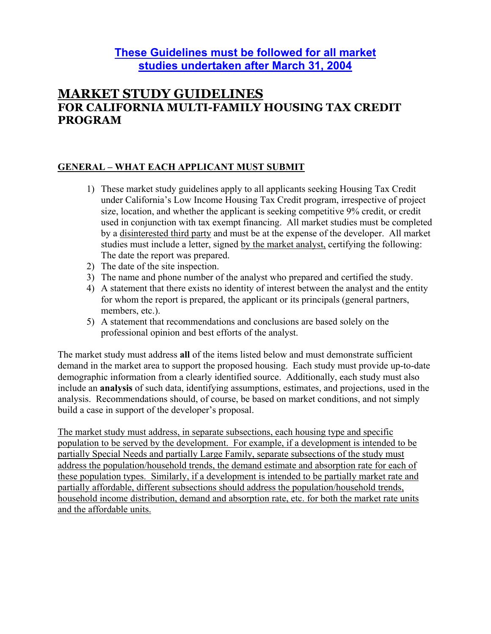# **These Guidelines must be followed for all market studies undertaken after March 31, 2004**

# **MARKET STUDY GUIDELINES FOR CALIFORNIA MULTI-FAMILY HOUSING TAX CREDIT PROGRAM**

### **GENERAL – WHAT EACH APPLICANT MUST SUBMIT**

- 1) These market study guidelines apply to all applicants seeking Housing Tax Credit under California's Low Income Housing Tax Credit program, irrespective of project size, location, and whether the applicant is seeking competitive 9% credit, or credit used in conjunction with tax exempt financing. All market studies must be completed by a disinterested third party and must be at the expense of the developer. All market studies must include a letter, signed by the market analyst, certifying the following: The date the report was prepared.
- 2) The date of the site inspection.
- 3) The name and phone number of the analyst who prepared and certified the study.
- 4) A statement that there exists no identity of interest between the analyst and the entity for whom the report is prepared, the applicant or its principals (general partners, members, etc.).
- 5) A statement that recommendations and conclusions are based solely on the professional opinion and best efforts of the analyst.

The market study must address **all** of the items listed below and must demonstrate sufficient demand in the market area to support the proposed housing. Each study must provide up-to-date demographic information from a clearly identified source. Additionally, each study must also include an **analysis** of such data, identifying assumptions, estimates, and projections, used in the analysis. Recommendations should, of course, be based on market conditions, and not simply build a case in support of the developer's proposal.

The market study must address, in separate subsections, each housing type and specific population to be served by the development. For example, if a development is intended to be partially Special Needs and partially Large Family, separate subsections of the study must address the population/household trends, the demand estimate and absorption rate for each of these population types. Similarly, if a development is intended to be partially market rate and partially affordable, different subsections should address the population/household trends, household income distribution, demand and absorption rate, etc. for both the market rate units and the affordable units.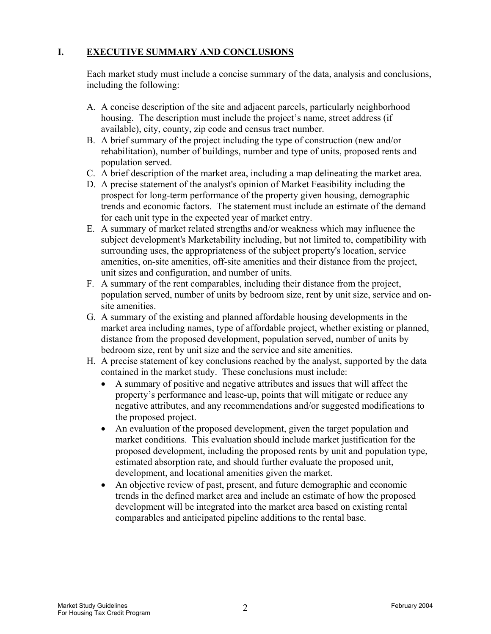### **I. EXECUTIVE SUMMARY AND CONCLUSIONS**

Each market study must include a concise summary of the data, analysis and conclusions, including the following:

- A. A concise description of the site and adjacent parcels, particularly neighborhood housing. The description must include the project's name, street address (if available), city, county, zip code and census tract number.
- B. A brief summary of the project including the type of construction (new and/or rehabilitation), number of buildings, number and type of units, proposed rents and population served.
- C. A brief description of the market area, including a map delineating the market area.
- D. A precise statement of the analyst's opinion of Market Feasibility including the prospect for long-term performance of the property given housing, demographic trends and economic factors. The statement must include an estimate of the demand for each unit type in the expected year of market entry.
- E. A summary of market related strengths and/or weakness which may influence the subject development's Marketability including, but not limited to, compatibility with surrounding uses, the appropriateness of the subject property's location, service amenities, on-site amenities, off-site amenities and their distance from the project, unit sizes and configuration, and number of units.
- F. A summary of the rent comparables, including their distance from the project, population served, number of units by bedroom size, rent by unit size, service and onsite amenities.
- G. A summary of the existing and planned affordable housing developments in the market area including names, type of affordable project, whether existing or planned, distance from the proposed development, population served, number of units by bedroom size, rent by unit size and the service and site amenities.
- H. A precise statement of key conclusions reached by the analyst, supported by the data contained in the market study. These conclusions must include:
	- A summary of positive and negative attributes and issues that will affect the property's performance and lease-up, points that will mitigate or reduce any negative attributes, and any recommendations and/or suggested modifications to the proposed project.
	- An evaluation of the proposed development, given the target population and market conditions. This evaluation should include market justification for the proposed development, including the proposed rents by unit and population type, estimated absorption rate, and should further evaluate the proposed unit, development, and locational amenities given the market.
	- An objective review of past, present, and future demographic and economic trends in the defined market area and include an estimate of how the proposed development will be integrated into the market area based on existing rental comparables and anticipated pipeline additions to the rental base.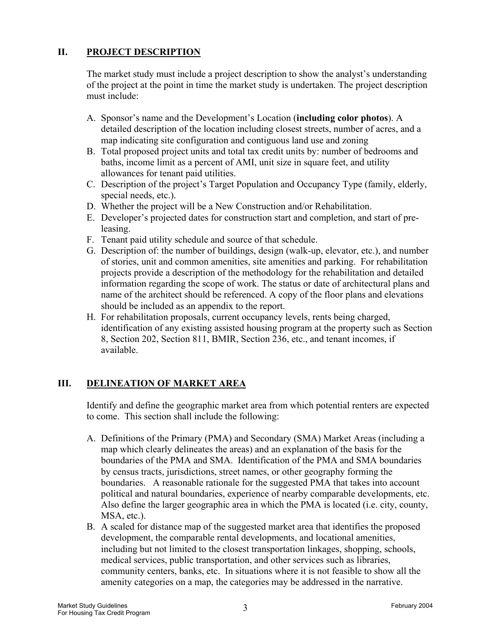### **II. PROJECT DESCRIPTION**

The market study must include a project description to show the analyst's understanding of the project at the point in time the market study is undertaken. The project description must include:

- A. Sponsor's name and the Development's Location (**including color photos**). A detailed description of the location including closest streets, number of acres, and a map indicating site configuration and contiguous land use and zoning
- B. Total proposed project units and total tax credit units by: number of bedrooms and baths, income limit as a percent of AMI, unit size in square feet, and utility allowances for tenant paid utilities.
- C. Description of the project's Target Population and Occupancy Type (family, elderly, special needs, etc.).
- D. Whether the project will be a New Construction and/or Rehabilitation.
- E. Developer's projected dates for construction start and completion, and start of preleasing.
- F. Tenant paid utility schedule and source of that schedule.
- G. Description of: the number of buildings, design (walk-up, elevator, etc.), and number of stories, unit and common amenities, site amenities and parking. For rehabilitation projects provide a description of the methodology for the rehabilitation and detailed information regarding the scope of work. The status or date of architectural plans and name of the architect should be referenced. A copy of the floor plans and elevations should be included as an appendix to the report.
- H. For rehabilitation proposals, current occupancy levels, rents being charged, identification of any existing assisted housing program at the property such as Section 8, Section 202, Section 811, BMIR, Section 236, etc., and tenant incomes, if available.

#### **III. DELINEATION OF MARKET AREA**

Identify and define the geographic market area from which potential renters are expected to come. This section shall include the following:

- A. Definitions of the Primary (PMA) and Secondary (SMA) Market Areas (including a map which clearly delineates the areas) and an explanation of the basis for the boundaries of the PMA and SMA. Identification of the PMA and SMA boundaries by census tracts, jurisdictions, street names, or other geography forming the boundaries. A reasonable rationale for the suggested PMA that takes into account political and natural boundaries, experience of nearby comparable developments, etc. Also define the larger geographic area in which the PMA is located (i.e. city, county, MSA, etc.).
- B. A scaled for distance map of the suggested market area that identifies the proposed development, the comparable rental developments, and locational amenities, including but not limited to the closest transportation linkages, shopping, schools, medical services, public transportation, and other services such as libraries, community centers, banks, etc. In situations where it is not feasible to show all the amenity categories on a map, the categories may be addressed in the narrative.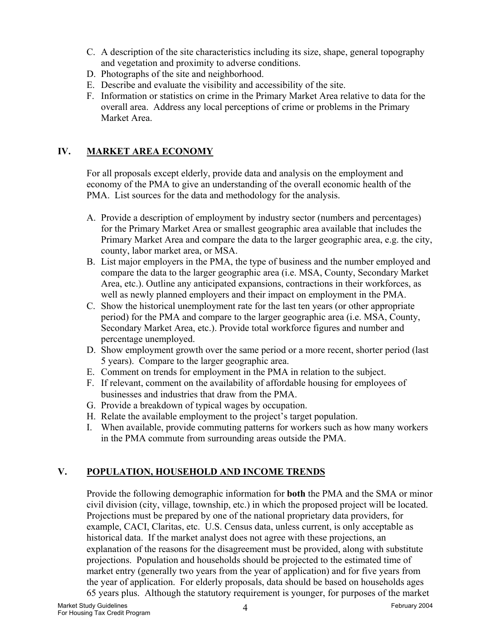- C. A description of the site characteristics including its size, shape, general topography and vegetation and proximity to adverse conditions.
- D. Photographs of the site and neighborhood.
- E. Describe and evaluate the visibility and accessibility of the site.
- F. Information or statistics on crime in the Primary Market Area relative to data for the overall area. Address any local perceptions of crime or problems in the Primary Market Area.

## **IV. MARKET AREA ECONOMY**

For all proposals except elderly, provide data and analysis on the employment and economy of the PMA to give an understanding of the overall economic health of the PMA. List sources for the data and methodology for the analysis.

- A. Provide a description of employment by industry sector (numbers and percentages) for the Primary Market Area or smallest geographic area available that includes the Primary Market Area and compare the data to the larger geographic area, e.g. the city, county, labor market area, or MSA.
- B. List major employers in the PMA, the type of business and the number employed and compare the data to the larger geographic area (i.e. MSA, County, Secondary Market Area, etc.). Outline any anticipated expansions, contractions in their workforces, as well as newly planned employers and their impact on employment in the PMA.
- C. Show the historical unemployment rate for the last ten years (or other appropriate period) for the PMA and compare to the larger geographic area (i.e. MSA, County, Secondary Market Area, etc.). Provide total workforce figures and number and percentage unemployed.
- D. Show employment growth over the same period or a more recent, shorter period (last 5 years). Compare to the larger geographic area.
- E. Comment on trends for employment in the PMA in relation to the subject.
- F. If relevant, comment on the availability of affordable housing for employees of businesses and industries that draw from the PMA.
- G. Provide a breakdown of typical wages by occupation.
- H. Relate the available employment to the project's target population.
- I. When available, provide commuting patterns for workers such as how many workers in the PMA commute from surrounding areas outside the PMA.

# **V. POPULATION, HOUSEHOLD AND INCOME TRENDS**

Provide the following demographic information for **both** the PMA and the SMA or minor civil division (city, village, township, etc.) in which the proposed project will be located. Projections must be prepared by one of the national proprietary data providers, for example, CACI, Claritas, etc. U.S. Census data, unless current, is only acceptable as historical data. If the market analyst does not agree with these projections, an explanation of the reasons for the disagreement must be provided, along with substitute projections. Population and households should be projected to the estimated time of market entry (generally two years from the year of application) and for five years from the year of application. For elderly proposals, data should be based on households ages 65 years plus. Although the statutory requirement is younger, for purposes of the market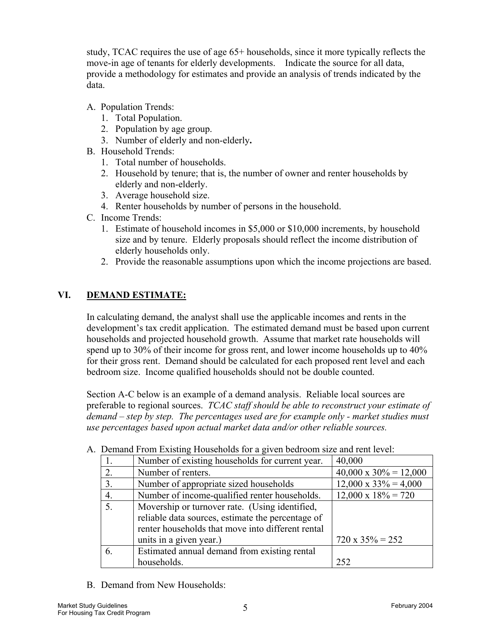study, TCAC requires the use of age 65+ households, since it more typically reflects the move-in age of tenants for elderly developments. Indicate the source for all data, provide a methodology for estimates and provide an analysis of trends indicated by the data.

- A. Population Trends:
	- 1. Total Population.
	- 2. Population by age group.
	- 3. Number of elderly and non-elderly**.**
- B. Household Trends:
	- 1. Total number of households.
	- 2. Household by tenure; that is, the number of owner and renter households by elderly and non-elderly.
	- 3. Average household size.
	- 4. Renter households by number of persons in the household.
- C. Income Trends:
	- 1. Estimate of household incomes in \$5,000 or \$10,000 increments, by household size and by tenure. Elderly proposals should reflect the income distribution of elderly households only.
	- 2. Provide the reasonable assumptions upon which the income projections are based.

### **VI. DEMAND ESTIMATE:**

In calculating demand, the analyst shall use the applicable incomes and rents in the development's tax credit application. The estimated demand must be based upon current households and projected household growth. Assume that market rate households will spend up to 30% of their income for gross rent, and lower income households up to 40% for their gross rent. Demand should be calculated for each proposed rent level and each bedroom size. Income qualified households should not be double counted.

Section A-C below is an example of a demand analysis. Reliable local sources are preferable to regional sources. *TCAC staff should be able to reconstruct your estimate of demand – step by step. The percentages used are for example only - market studies must use percentages based upon actual market data and/or other reliable sources.*

| 1. | Number of existing households for current year.   | 40,000                        |
|----|---------------------------------------------------|-------------------------------|
| 2. | Number of renters.                                | $40,000 \times 30\% = 12,000$ |
| 3. | Number of appropriate sized households            | $12,000 \times 33\% = 4,000$  |
| 4. | Number of income-qualified renter households.     | $12,000 \times 18\% = 720$    |
| 5. | Movership or turnover rate. (Using identified,    |                               |
|    | reliable data sources, estimate the percentage of |                               |
|    | renter households that move into different rental |                               |
|    | units in a given year.)                           | $720 \times 35\% = 252$       |
| 6. | Estimated annual demand from existing rental      |                               |
|    | households.                                       | 252                           |

A. Demand From Existing Households for a given bedroom size and rent level:

B. Demand from New Households: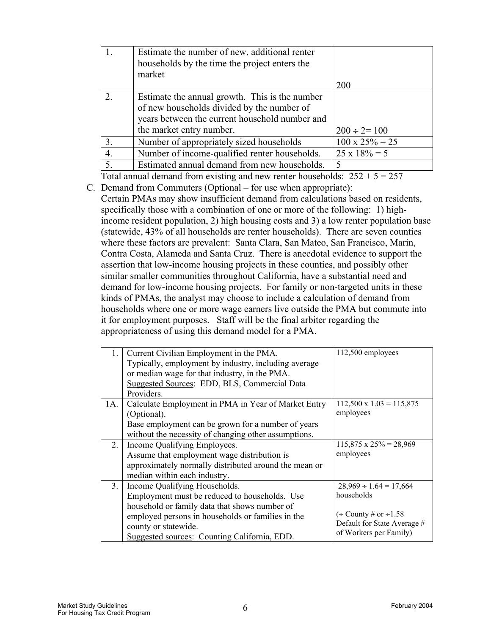|                  | Estimate the number of new, additional renter<br>households by the time the project enters the<br>market                                                                   |                        |
|------------------|----------------------------------------------------------------------------------------------------------------------------------------------------------------------------|------------------------|
|                  |                                                                                                                                                                            | 200                    |
| $\overline{2}$ . | Estimate the annual growth. This is the number<br>of new households divided by the number of<br>years between the current household number and<br>the market entry number. | $200 \div 2 = 100$     |
| 3.               | Number of appropriately sized households                                                                                                                                   | $100 \times 25\% = 25$ |
| 4.               | Number of income-qualified renter households.                                                                                                                              | $25 \times 18\% = 5$   |
| 5.               | Estimated annual demand from new households.                                                                                                                               | $\varsigma$            |

Total annual demand from existing and new renter households:  $252 + 5 = 257$ 

C. Demand from Commuters (Optional – for use when appropriate): Certain PMAs may show insufficient demand from calculations based on residents, specifically those with a combination of one or more of the following: 1) highincome resident population, 2) high housing costs and 3) a low renter population base (statewide, 43% of all households are renter households). There are seven counties where these factors are prevalent: Santa Clara, San Mateo, San Francisco, Marin, Contra Costa, Alameda and Santa Cruz. There is anecdotal evidence to support the assertion that low-income housing projects in these counties, and possibly other similar smaller communities throughout California, have a substantial need and demand for low-income housing projects. For family or non-targeted units in these kinds of PMAs, the analyst may choose to include a calculation of demand from households where one or more wage earners live outside the PMA but commute into it for employment purposes. Staff will be the final arbiter regarding the appropriateness of using this demand model for a PMA.

| 1.             | Current Civilian Employment in the PMA.<br>Typically, employment by industry, including average<br>or median wage for that industry, in the PMA.<br>Suggested Sources: EDD, BLS, Commercial Data<br>Providers.                                               | 112,500 employees                                                                                                                    |
|----------------|--------------------------------------------------------------------------------------------------------------------------------------------------------------------------------------------------------------------------------------------------------------|--------------------------------------------------------------------------------------------------------------------------------------|
| 1A.            | Calculate Employment in PMA in Year of Market Entry<br>(Optional).<br>Base employment can be grown for a number of years<br>without the necessity of changing other assumptions.                                                                             | $112,500 \times 1.03 = 115,875$<br>employees                                                                                         |
| 2.             | Income Qualifying Employees.<br>Assume that employment wage distribution is<br>approximately normally distributed around the mean or<br>median within each industry.                                                                                         | $115,875 \times 25\% = 28,969$<br>employees                                                                                          |
| 3 <sub>1</sub> | Income Qualifying Households.<br>Employment must be reduced to households. Use<br>household or family data that shows number of<br>employed persons in households or families in the<br>county or statewide.<br>Suggested sources: Counting California, EDD. | $28,969 \div 1.64 = 17,664$<br>households<br>$\div$ County # or $\div$ 1.58<br>Default for State Average #<br>of Workers per Family) |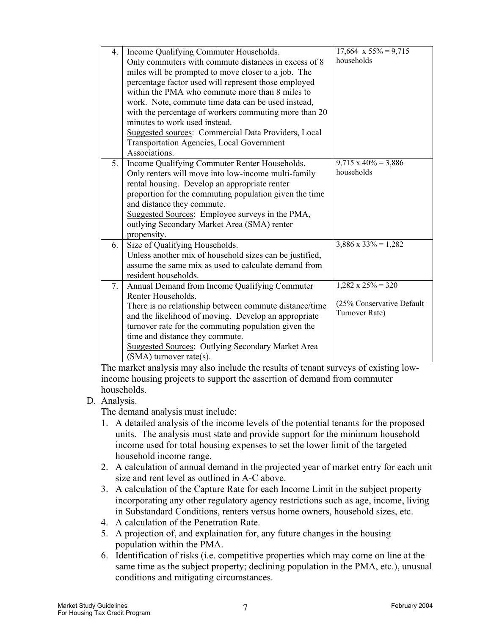| 4. | Income Qualifying Commuter Households.<br>Only commuters with commute distances in excess of 8<br>miles will be prompted to move closer to a job. The<br>percentage factor used will represent those employed<br>within the PMA who commute more than 8 miles to<br>work. Note, commute time data can be used instead,<br>with the percentage of workers commuting more than 20<br>minutes to work used instead.<br>Suggested sources: Commercial Data Providers, Local<br>Transportation Agencies, Local Government<br>Associations. | $17,664 \times 55\% = 9,715$<br>households                                |
|----|---------------------------------------------------------------------------------------------------------------------------------------------------------------------------------------------------------------------------------------------------------------------------------------------------------------------------------------------------------------------------------------------------------------------------------------------------------------------------------------------------------------------------------------|---------------------------------------------------------------------------|
| 5. | Income Qualifying Commuter Renter Households.<br>Only renters will move into low-income multi-family<br>rental housing. Develop an appropriate renter<br>proportion for the commuting population given the time<br>and distance they commute.<br>Suggested Sources: Employee surveys in the PMA,<br>outlying Secondary Market Area (SMA) renter<br>propensity.                                                                                                                                                                        | $9,715 \times 40\% = 3,886$<br>households                                 |
| 6. | Size of Qualifying Households.<br>Unless another mix of household sizes can be justified,<br>assume the same mix as used to calculate demand from<br>resident households.                                                                                                                                                                                                                                                                                                                                                             | $3,886 \times 33\% = 1,282$                                               |
| 7. | Annual Demand from Income Qualifying Commuter<br>Renter Households.<br>There is no relationship between commute distance/time<br>and the likelihood of moving. Develop an appropriate<br>turnover rate for the commuting population given the<br>time and distance they commute.<br><b>Suggested Sources: Outlying Secondary Market Area</b><br>$(SMA)$ turnover rate(s).                                                                                                                                                             | $1,282 \times 25\% = 320$<br>(25% Conservative Default)<br>Turnover Rate) |

The market analysis may also include the results of tenant surveys of existing lowincome housing projects to support the assertion of demand from commuter households.

#### D. Analysis.

The demand analysis must include:

- 1. A detailed analysis of the income levels of the potential tenants for the proposed units. The analysis must state and provide support for the minimum household income used for total housing expenses to set the lower limit of the targeted household income range.
- 2. A calculation of annual demand in the projected year of market entry for each unit size and rent level as outlined in A-C above.
- 3. A calculation of the Capture Rate for each Income Limit in the subject property incorporating any other regulatory agency restrictions such as age, income, living in Substandard Conditions, renters versus home owners, household sizes, etc.
- 4. A calculation of the Penetration Rate.
- 5. A projection of, and explaination for, any future changes in the housing population within the PMA.
- 6. Identification of risks (i.e. competitive properties which may come on line at the same time as the subject property; declining population in the PMA, etc.), unusual conditions and mitigating circumstances.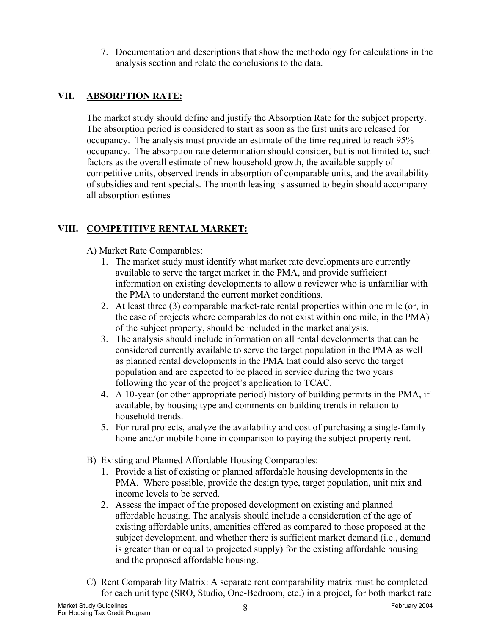7. Documentation and descriptions that show the methodology for calculations in the analysis section and relate the conclusions to the data.

### **VII. ABSORPTION RATE:**

The market study should define and justify the Absorption Rate for the subject property. The absorption period is considered to start as soon as the first units are released for occupancy. The analysis must provide an estimate of the time required to reach 95% occupancy. The absorption rate determination should consider, but is not limited to, such factors as the overall estimate of new household growth, the available supply of competitive units, observed trends in absorption of comparable units, and the availability of subsidies and rent specials. The month leasing is assumed to begin should accompany all absorption estimes

# **VIII. COMPETITIVE RENTAL MARKET:**

A) Market Rate Comparables:

- 1. The market study must identify what market rate developments are currently available to serve the target market in the PMA, and provide sufficient information on existing developments to allow a reviewer who is unfamiliar with the PMA to understand the current market conditions.
- 2. At least three (3) comparable market-rate rental properties within one mile (or, in the case of projects where comparables do not exist within one mile, in the PMA) of the subject property, should be included in the market analysis.
- 3. The analysis should include information on all rental developments that can be considered currently available to serve the target population in the PMA as well as planned rental developments in the PMA that could also serve the target population and are expected to be placed in service during the two years following the year of the project's application to TCAC.
- 4. A 10-year (or other appropriate period) history of building permits in the PMA, if available, by housing type and comments on building trends in relation to household trends.
- 5. For rural projects, analyze the availability and cost of purchasing a single-family home and/or mobile home in comparison to paying the subject property rent.
- B) Existing and Planned Affordable Housing Comparables:
	- 1. Provide a list of existing or planned affordable housing developments in the PMA. Where possible, provide the design type, target population, unit mix and income levels to be served.
	- 2. Assess the impact of the proposed development on existing and planned affordable housing. The analysis should include a consideration of the age of existing affordable units, amenities offered as compared to those proposed at the subject development, and whether there is sufficient market demand (i.e., demand is greater than or equal to projected supply) for the existing affordable housing and the proposed affordable housing.
- C) Rent Comparability Matrix: A separate rent comparability matrix must be completed for each unit type (SRO, Studio, One-Bedroom, etc.) in a project, for both market rate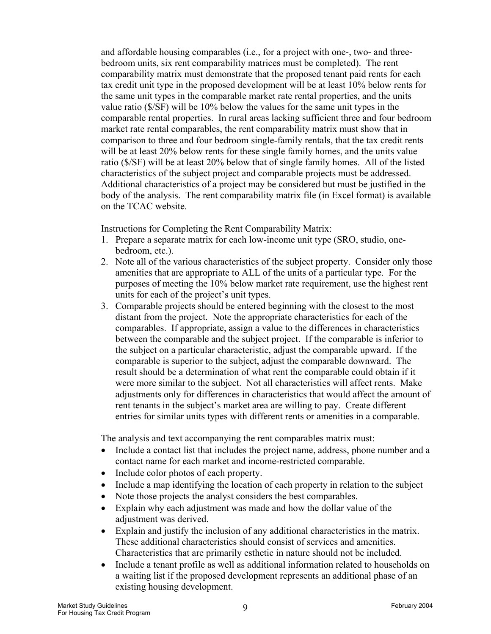and affordable housing comparables (i.e., for a project with one-, two- and threebedroom units, six rent comparability matrices must be completed). The rent comparability matrix must demonstrate that the proposed tenant paid rents for each tax credit unit type in the proposed development will be at least 10% below rents for the same unit types in the comparable market rate rental properties, and the units value ratio (\$/SF) will be 10% below the values for the same unit types in the comparable rental properties. In rural areas lacking sufficient three and four bedroom market rate rental comparables, the rent comparability matrix must show that in comparison to three and four bedroom single-family rentals, that the tax credit rents will be at least 20% below rents for these single family homes, and the units value ratio (\$/SF) will be at least 20% below that of single family homes. All of the listed characteristics of the subject project and comparable projects must be addressed. Additional characteristics of a project may be considered but must be justified in the body of the analysis. The rent comparability matrix file (in Excel format) is available on the TCAC website.

Instructions for Completing the Rent Comparability Matrix:

- 1. Prepare a separate matrix for each low-income unit type (SRO, studio, onebedroom, etc.).
- 2. Note all of the various characteristics of the subject property. Consider only those amenities that are appropriate to ALL of the units of a particular type. For the purposes of meeting the 10% below market rate requirement, use the highest rent units for each of the project's unit types.
- 3. Comparable projects should be entered beginning with the closest to the most distant from the project. Note the appropriate characteristics for each of the comparables. If appropriate, assign a value to the differences in characteristics between the comparable and the subject project. If the comparable is inferior to the subject on a particular characteristic, adjust the comparable upward. If the comparable is superior to the subject, adjust the comparable downward. The result should be a determination of what rent the comparable could obtain if it were more similar to the subject. Not all characteristics will affect rents. Make adjustments only for differences in characteristics that would affect the amount of rent tenants in the subject's market area are willing to pay. Create different entries for similar units types with different rents or amenities in a comparable.

The analysis and text accompanying the rent comparables matrix must:

- Include a contact list that includes the project name, address, phone number and a contact name for each market and income-restricted comparable.
- Include color photos of each property.
- Include a map identifying the location of each property in relation to the subject
- Note those projects the analyst considers the best comparables.
- Explain why each adjustment was made and how the dollar value of the adjustment was derived.
- Explain and justify the inclusion of any additional characteristics in the matrix. These additional characteristics should consist of services and amenities. Characteristics that are primarily esthetic in nature should not be included.
- Include a tenant profile as well as additional information related to households on a waiting list if the proposed development represents an additional phase of an existing housing development.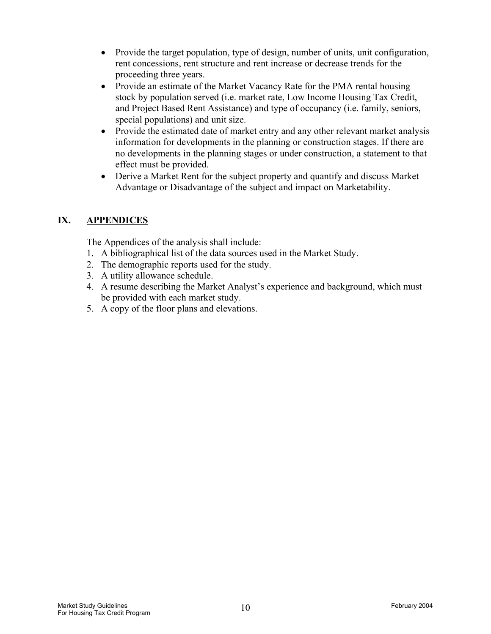- Provide the target population, type of design, number of units, unit configuration, rent concessions, rent structure and rent increase or decrease trends for the proceeding three years.
- Provide an estimate of the Market Vacancy Rate for the PMA rental housing stock by population served (i.e. market rate, Low Income Housing Tax Credit, and Project Based Rent Assistance) and type of occupancy (i.e. family, seniors, special populations) and unit size.
- Provide the estimated date of market entry and any other relevant market analysis information for developments in the planning or construction stages. If there are no developments in the planning stages or under construction, a statement to that effect must be provided.
- Derive a Market Rent for the subject property and quantify and discuss Market Advantage or Disadvantage of the subject and impact on Marketability.

### **IX. APPENDICES**

The Appendices of the analysis shall include:

- 1. A bibliographical list of the data sources used in the Market Study.
- 2. The demographic reports used for the study.
- 3. A utility allowance schedule.
- 4. A resume describing the Market Analyst's experience and background, which must be provided with each market study.
- 5. A copy of the floor plans and elevations.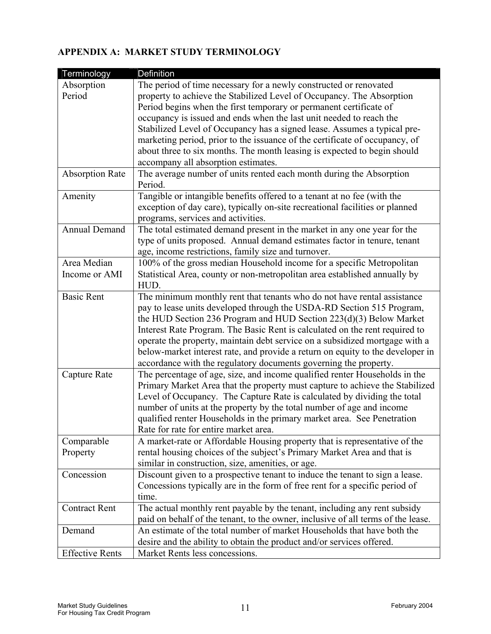### **APPENDIX A: MARKET STUDY TERMINOLOGY**

| Terminology            | Definition                                                                       |
|------------------------|----------------------------------------------------------------------------------|
| Absorption             | The period of time necessary for a newly constructed or renovated                |
| Period                 | property to achieve the Stabilized Level of Occupancy. The Absorption            |
|                        | Period begins when the first temporary or permanent certificate of               |
|                        | occupancy is issued and ends when the last unit needed to reach the              |
|                        | Stabilized Level of Occupancy has a signed lease. Assumes a typical pre-         |
|                        | marketing period, prior to the issuance of the certificate of occupancy, of      |
|                        | about three to six months. The month leasing is expected to begin should         |
|                        | accompany all absorption estimates.                                              |
| <b>Absorption Rate</b> | The average number of units rented each month during the Absorption              |
|                        | Period.                                                                          |
| Amenity                | Tangible or intangible benefits offered to a tenant at no fee (with the          |
|                        | exception of day care), typically on-site recreational facilities or planned     |
|                        | programs, services and activities.                                               |
| <b>Annual Demand</b>   | The total estimated demand present in the market in any one year for the         |
|                        | type of units proposed. Annual demand estimates factor in tenure, tenant         |
|                        | age, income restrictions, family size and turnover.                              |
| Area Median            | 100% of the gross median Household income for a specific Metropolitan            |
| Income or AMI          | Statistical Area, county or non-metropolitan area established annually by        |
|                        | HUD.                                                                             |
| <b>Basic Rent</b>      | The minimum monthly rent that tenants who do not have rental assistance          |
|                        | pay to lease units developed through the USDA-RD Section 515 Program,            |
|                        | the HUD Section 236 Program and HUD Section 223(d)(3) Below Market               |
|                        | Interest Rate Program. The Basic Rent is calculated on the rent required to      |
|                        | operate the property, maintain debt service on a subsidized mortgage with a      |
|                        | below-market interest rate, and provide a return on equity to the developer in   |
|                        | accordance with the regulatory documents governing the property.                 |
| Capture Rate           | The percentage of age, size, and income qualified renter Households in the       |
|                        | Primary Market Area that the property must capture to achieve the Stabilized     |
|                        | Level of Occupancy. The Capture Rate is calculated by dividing the total         |
|                        | number of units at the property by the total number of age and income            |
|                        | qualified renter Households in the primary market area. See Penetration          |
|                        | Rate for rate for entire market area.                                            |
| Comparable             | A market-rate or Affordable Housing property that is representative of the       |
| Property               | rental housing choices of the subject's Primary Market Area and that is          |
|                        | similar in construction, size, amenities, or age.                                |
| Concession             | Discount given to a prospective tenant to induce the tenant to sign a lease.     |
|                        | Concessions typically are in the form of free rent for a specific period of      |
|                        | time.                                                                            |
| <b>Contract Rent</b>   | The actual monthly rent payable by the tenant, including any rent subsidy        |
|                        | paid on behalf of the tenant, to the owner, inclusive of all terms of the lease. |
| Demand                 | An estimate of the total number of market Households that have both the          |
|                        | desire and the ability to obtain the product and/or services offered.            |
| <b>Effective Rents</b> | Market Rents less concessions.                                                   |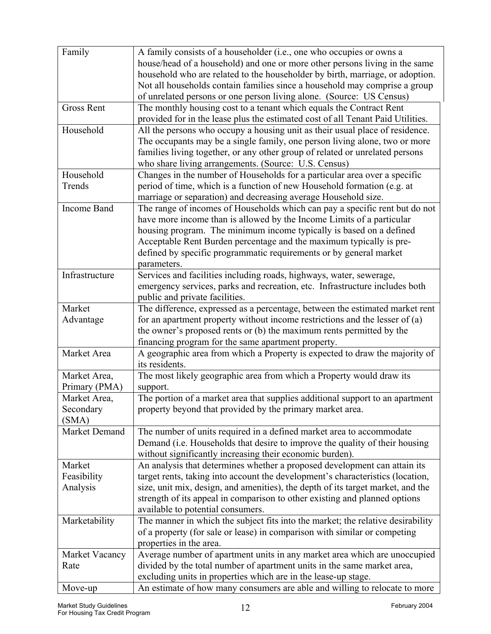| Family             | A family consists of a householder (i.e., one who occupies or owns a            |
|--------------------|---------------------------------------------------------------------------------|
|                    | house/head of a household) and one or more other persons living in the same     |
|                    | household who are related to the householder by birth, marriage, or adoption.   |
|                    | Not all households contain families since a household may comprise a group      |
|                    | of unrelated persons or one person living alone. (Source: US Census)            |
| <b>Gross Rent</b>  | The monthly housing cost to a tenant which equals the Contract Rent             |
|                    | provided for in the lease plus the estimated cost of all Tenant Paid Utilities. |
| Household          | All the persons who occupy a housing unit as their usual place of residence.    |
|                    | The occupants may be a single family, one person living alone, two or more      |
|                    | families living together, or any other group of related or unrelated persons    |
|                    | who share living arrangements. (Source: U.S. Census)                            |
| Household          | Changes in the number of Households for a particular area over a specific       |
| Trends             | period of time, which is a function of new Household formation (e.g. at         |
|                    | marriage or separation) and decreasing average Household size.                  |
| <b>Income Band</b> | The range of incomes of Households which can pay a specific rent but do not     |
|                    | have more income than is allowed by the Income Limits of a particular           |
|                    | housing program. The minimum income typically is based on a defined             |
|                    | Acceptable Rent Burden percentage and the maximum typically is pre-             |
|                    | defined by specific programmatic requirements or by general market              |
|                    | parameters.                                                                     |
| Infrastructure     | Services and facilities including roads, highways, water, sewerage,             |
|                    | emergency services, parks and recreation, etc. Infrastructure includes both     |
|                    | public and private facilities.                                                  |
| Market             | The difference, expressed as a percentage, between the estimated market rent    |
| Advantage          | for an apartment property without income restrictions and the lesser of $(a)$   |
|                    | the owner's proposed rents or (b) the maximum rents permitted by the            |
|                    | financing program for the same apartment property.                              |
| Market Area        | A geographic area from which a Property is expected to draw the majority of     |
|                    | its residents.                                                                  |
| Market Area,       | The most likely geographic area from which a Property would draw its            |
| Primary (PMA)      | support.                                                                        |
| Market Area,       | The portion of a market area that supplies additional support to an apartment   |
| Secondary          | property beyond that provided by the primary market area.                       |
| (SMA)              |                                                                                 |
| Market Demand      | The number of units required in a defined market area to accommodate            |
|                    | Demand (i.e. Households that desire to improve the quality of their housing     |
|                    | without significantly increasing their economic burden).                        |
| Market             | An analysis that determines whether a proposed development can attain its       |
| Feasibility        | target rents, taking into account the development's characteristics (location,  |
| Analysis           | size, unit mix, design, and amenities), the depth of its target market, and the |
|                    | strength of its appeal in comparison to other existing and planned options      |
|                    | available to potential consumers.                                               |
| Marketability      | The manner in which the subject fits into the market; the relative desirability |
|                    | of a property (for sale or lease) in comparison with similar or competing       |
|                    | properties in the area.                                                         |
| Market Vacancy     | Average number of apartment units in any market area which are unoccupied       |
| Rate               | divided by the total number of apartment units in the same market area,         |
|                    | excluding units in properties which are in the lease-up stage.                  |
| Move-up            | An estimate of how many consumers are able and willing to relocate to more      |
|                    |                                                                                 |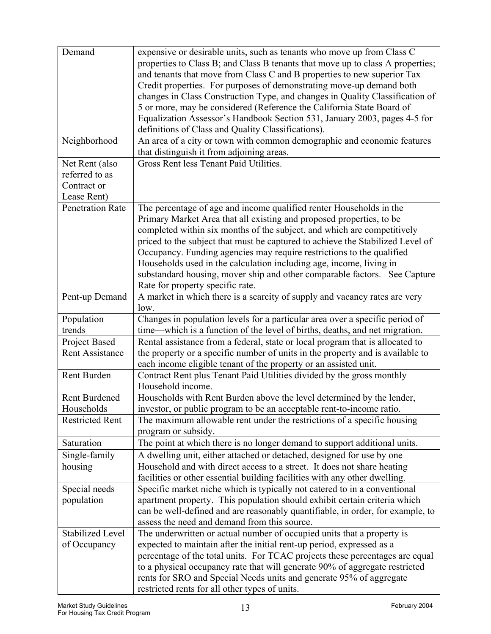| Demand                                                                                             | expensive or desirable units, such as tenants who move up from Class C                                                                                                                                                                                                                                                                                                                                                                                                                                                                                                                                                                                                                                                                                                                                                                                                                                                                                                |
|----------------------------------------------------------------------------------------------------|-----------------------------------------------------------------------------------------------------------------------------------------------------------------------------------------------------------------------------------------------------------------------------------------------------------------------------------------------------------------------------------------------------------------------------------------------------------------------------------------------------------------------------------------------------------------------------------------------------------------------------------------------------------------------------------------------------------------------------------------------------------------------------------------------------------------------------------------------------------------------------------------------------------------------------------------------------------------------|
|                                                                                                    | properties to Class B; and Class B tenants that move up to class A properties;                                                                                                                                                                                                                                                                                                                                                                                                                                                                                                                                                                                                                                                                                                                                                                                                                                                                                        |
|                                                                                                    | and tenants that move from Class C and B properties to new superior Tax                                                                                                                                                                                                                                                                                                                                                                                                                                                                                                                                                                                                                                                                                                                                                                                                                                                                                               |
|                                                                                                    | Credit properties. For purposes of demonstrating move-up demand both                                                                                                                                                                                                                                                                                                                                                                                                                                                                                                                                                                                                                                                                                                                                                                                                                                                                                                  |
|                                                                                                    | changes in Class Construction Type, and changes in Quality Classification of                                                                                                                                                                                                                                                                                                                                                                                                                                                                                                                                                                                                                                                                                                                                                                                                                                                                                          |
|                                                                                                    | 5 or more, may be considered (Reference the California State Board of                                                                                                                                                                                                                                                                                                                                                                                                                                                                                                                                                                                                                                                                                                                                                                                                                                                                                                 |
|                                                                                                    | Equalization Assessor's Handbook Section 531, January 2003, pages 4-5 for                                                                                                                                                                                                                                                                                                                                                                                                                                                                                                                                                                                                                                                                                                                                                                                                                                                                                             |
|                                                                                                    | definitions of Class and Quality Classifications).                                                                                                                                                                                                                                                                                                                                                                                                                                                                                                                                                                                                                                                                                                                                                                                                                                                                                                                    |
| Neighborhood                                                                                       | An area of a city or town with common demographic and economic features<br>that distinguish it from adjoining areas.                                                                                                                                                                                                                                                                                                                                                                                                                                                                                                                                                                                                                                                                                                                                                                                                                                                  |
| Net Rent (also                                                                                     | Gross Rent less Tenant Paid Utilities.                                                                                                                                                                                                                                                                                                                                                                                                                                                                                                                                                                                                                                                                                                                                                                                                                                                                                                                                |
| referred to as                                                                                     |                                                                                                                                                                                                                                                                                                                                                                                                                                                                                                                                                                                                                                                                                                                                                                                                                                                                                                                                                                       |
| Contract or                                                                                        |                                                                                                                                                                                                                                                                                                                                                                                                                                                                                                                                                                                                                                                                                                                                                                                                                                                                                                                                                                       |
| Lease Rent)                                                                                        |                                                                                                                                                                                                                                                                                                                                                                                                                                                                                                                                                                                                                                                                                                                                                                                                                                                                                                                                                                       |
| <b>Penetration Rate</b>                                                                            | The percentage of age and income qualified renter Households in the                                                                                                                                                                                                                                                                                                                                                                                                                                                                                                                                                                                                                                                                                                                                                                                                                                                                                                   |
|                                                                                                    | Primary Market Area that all existing and proposed properties, to be                                                                                                                                                                                                                                                                                                                                                                                                                                                                                                                                                                                                                                                                                                                                                                                                                                                                                                  |
|                                                                                                    | completed within six months of the subject, and which are competitively                                                                                                                                                                                                                                                                                                                                                                                                                                                                                                                                                                                                                                                                                                                                                                                                                                                                                               |
|                                                                                                    | priced to the subject that must be captured to achieve the Stabilized Level of                                                                                                                                                                                                                                                                                                                                                                                                                                                                                                                                                                                                                                                                                                                                                                                                                                                                                        |
|                                                                                                    |                                                                                                                                                                                                                                                                                                                                                                                                                                                                                                                                                                                                                                                                                                                                                                                                                                                                                                                                                                       |
|                                                                                                    | Occupancy. Funding agencies may require restrictions to the qualified                                                                                                                                                                                                                                                                                                                                                                                                                                                                                                                                                                                                                                                                                                                                                                                                                                                                                                 |
|                                                                                                    | Households used in the calculation including age, income, living in                                                                                                                                                                                                                                                                                                                                                                                                                                                                                                                                                                                                                                                                                                                                                                                                                                                                                                   |
|                                                                                                    | substandard housing, mover ship and other comparable factors. See Capture                                                                                                                                                                                                                                                                                                                                                                                                                                                                                                                                                                                                                                                                                                                                                                                                                                                                                             |
|                                                                                                    | Rate for property specific rate.                                                                                                                                                                                                                                                                                                                                                                                                                                                                                                                                                                                                                                                                                                                                                                                                                                                                                                                                      |
| Pent-up Demand                                                                                     | A market in which there is a scarcity of supply and vacancy rates are very                                                                                                                                                                                                                                                                                                                                                                                                                                                                                                                                                                                                                                                                                                                                                                                                                                                                                            |
|                                                                                                    | low.                                                                                                                                                                                                                                                                                                                                                                                                                                                                                                                                                                                                                                                                                                                                                                                                                                                                                                                                                                  |
| Population                                                                                         | Changes in population levels for a particular area over a specific period of                                                                                                                                                                                                                                                                                                                                                                                                                                                                                                                                                                                                                                                                                                                                                                                                                                                                                          |
| trends                                                                                             | time—which is a function of the level of births, deaths, and net migration.                                                                                                                                                                                                                                                                                                                                                                                                                                                                                                                                                                                                                                                                                                                                                                                                                                                                                           |
| Project Based                                                                                      | Rental assistance from a federal, state or local program that is allocated to                                                                                                                                                                                                                                                                                                                                                                                                                                                                                                                                                                                                                                                                                                                                                                                                                                                                                         |
| Rent Assistance                                                                                    | the property or a specific number of units in the property and is available to                                                                                                                                                                                                                                                                                                                                                                                                                                                                                                                                                                                                                                                                                                                                                                                                                                                                                        |
|                                                                                                    | each income eligible tenant of the property or an assisted unit.                                                                                                                                                                                                                                                                                                                                                                                                                                                                                                                                                                                                                                                                                                                                                                                                                                                                                                      |
| Rent Burden                                                                                        | Contract Rent plus Tenant Paid Utilities divided by the gross monthly                                                                                                                                                                                                                                                                                                                                                                                                                                                                                                                                                                                                                                                                                                                                                                                                                                                                                                 |
|                                                                                                    | Household income.                                                                                                                                                                                                                                                                                                                                                                                                                                                                                                                                                                                                                                                                                                                                                                                                                                                                                                                                                     |
| <b>Rent Burdened</b>                                                                               | Households with Rent Burden above the level determined by the lender,                                                                                                                                                                                                                                                                                                                                                                                                                                                                                                                                                                                                                                                                                                                                                                                                                                                                                                 |
| Households                                                                                         | investor, or public program to be an acceptable rent-to-income ratio.                                                                                                                                                                                                                                                                                                                                                                                                                                                                                                                                                                                                                                                                                                                                                                                                                                                                                                 |
| <b>Restricted Rent</b>                                                                             | The maximum allowable rent under the restrictions of a specific housing<br>program or subsidy.                                                                                                                                                                                                                                                                                                                                                                                                                                                                                                                                                                                                                                                                                                                                                                                                                                                                        |
| Saturation                                                                                         | The point at which there is no longer demand to support additional units.                                                                                                                                                                                                                                                                                                                                                                                                                                                                                                                                                                                                                                                                                                                                                                                                                                                                                             |
|                                                                                                    |                                                                                                                                                                                                                                                                                                                                                                                                                                                                                                                                                                                                                                                                                                                                                                                                                                                                                                                                                                       |
|                                                                                                    |                                                                                                                                                                                                                                                                                                                                                                                                                                                                                                                                                                                                                                                                                                                                                                                                                                                                                                                                                                       |
|                                                                                                    |                                                                                                                                                                                                                                                                                                                                                                                                                                                                                                                                                                                                                                                                                                                                                                                                                                                                                                                                                                       |
|                                                                                                    |                                                                                                                                                                                                                                                                                                                                                                                                                                                                                                                                                                                                                                                                                                                                                                                                                                                                                                                                                                       |
|                                                                                                    |                                                                                                                                                                                                                                                                                                                                                                                                                                                                                                                                                                                                                                                                                                                                                                                                                                                                                                                                                                       |
|                                                                                                    |                                                                                                                                                                                                                                                                                                                                                                                                                                                                                                                                                                                                                                                                                                                                                                                                                                                                                                                                                                       |
|                                                                                                    |                                                                                                                                                                                                                                                                                                                                                                                                                                                                                                                                                                                                                                                                                                                                                                                                                                                                                                                                                                       |
|                                                                                                    |                                                                                                                                                                                                                                                                                                                                                                                                                                                                                                                                                                                                                                                                                                                                                                                                                                                                                                                                                                       |
|                                                                                                    |                                                                                                                                                                                                                                                                                                                                                                                                                                                                                                                                                                                                                                                                                                                                                                                                                                                                                                                                                                       |
|                                                                                                    |                                                                                                                                                                                                                                                                                                                                                                                                                                                                                                                                                                                                                                                                                                                                                                                                                                                                                                                                                                       |
|                                                                                                    |                                                                                                                                                                                                                                                                                                                                                                                                                                                                                                                                                                                                                                                                                                                                                                                                                                                                                                                                                                       |
|                                                                                                    |                                                                                                                                                                                                                                                                                                                                                                                                                                                                                                                                                                                                                                                                                                                                                                                                                                                                                                                                                                       |
|                                                                                                    |                                                                                                                                                                                                                                                                                                                                                                                                                                                                                                                                                                                                                                                                                                                                                                                                                                                                                                                                                                       |
| Single-family<br>housing<br>Special needs<br>population<br><b>Stabilized Level</b><br>of Occupancy | A dwelling unit, either attached or detached, designed for use by one<br>Household and with direct access to a street. It does not share heating<br>facilities or other essential building facilities with any other dwelling.<br>Specific market niche which is typically not catered to in a conventional<br>apartment property. This population should exhibit certain criteria which<br>can be well-defined and are reasonably quantifiable, in order, for example, to<br>assess the need and demand from this source.<br>The underwritten or actual number of occupied units that a property is<br>expected to maintain after the initial rent-up period, expressed as a<br>percentage of the total units. For TCAC projects these percentages are equal<br>to a physical occupancy rate that will generate 90% of aggregate restricted<br>rents for SRO and Special Needs units and generate 95% of aggregate<br>restricted rents for all other types of units. |